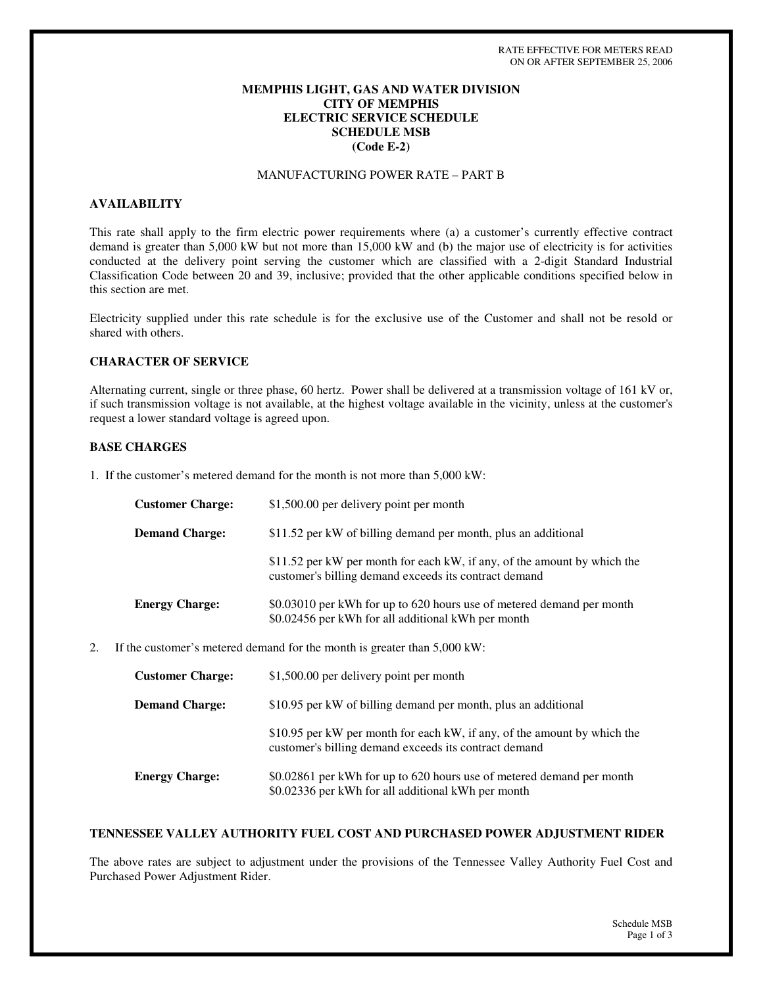## **MEMPHIS LIGHT, GAS AND WATER DIVISION CITY OF MEMPHIS ELECTRIC SERVICE SCHEDULE SCHEDULE MSB (Code E-2)**

# MANUFACTURING POWER RATE – PART B

#### **AVAILABILITY**

This rate shall apply to the firm electric power requirements where (a) a customer's currently effective contract demand is greater than 5,000 kW but not more than 15,000 kW and (b) the major use of electricity is for activities conducted at the delivery point serving the customer which are classified with a 2-digit Standard Industrial Classification Code between 20 and 39, inclusive; provided that the other applicable conditions specified below in this section are met.

Electricity supplied under this rate schedule is for the exclusive use of the Customer and shall not be resold or shared with others.

#### **CHARACTER OF SERVICE**

Alternating current, single or three phase, 60 hertz. Power shall be delivered at a transmission voltage of 161 kV or, if such transmission voltage is not available, at the highest voltage available in the vicinity, unless at the customer's request a lower standard voltage is agreed upon.

#### **BASE CHARGES**

1. If the customer's metered demand for the month is not more than 5,000 kW:

| <b>Customer Charge:</b> | \$1,500.00 per delivery point per month                                                                                           |
|-------------------------|-----------------------------------------------------------------------------------------------------------------------------------|
| <b>Demand Charge:</b>   | \$11.52 per kW of billing demand per month, plus an additional                                                                    |
|                         | \$11.52 per kW per month for each kW, if any, of the amount by which the<br>customer's billing demand exceeds its contract demand |
| <b>Energy Charge:</b>   | \$0.03010 per kWh for up to 620 hours use of metered demand per month<br>\$0.02456 per kWh for all additional kWh per month       |

2. If the customer's metered demand for the month is greater than 5,000 kW:

| <b>Customer Charge:</b> | \$1,500.00 per delivery point per month                                                                                           |
|-------------------------|-----------------------------------------------------------------------------------------------------------------------------------|
| <b>Demand Charge:</b>   | \$10.95 per kW of billing demand per month, plus an additional                                                                    |
|                         | \$10.95 per kW per month for each kW, if any, of the amount by which the<br>customer's billing demand exceeds its contract demand |
| <b>Energy Charge:</b>   | \$0.02861 per kWh for up to 620 hours use of metered demand per month<br>\$0.02336 per kWh for all additional kWh per month       |

#### **TENNESSEE VALLEY AUTHORITY FUEL COST AND PURCHASED POWER ADJUSTMENT RIDER**

The above rates are subject to adjustment under the provisions of the Tennessee Valley Authority Fuel Cost and Purchased Power Adjustment Rider.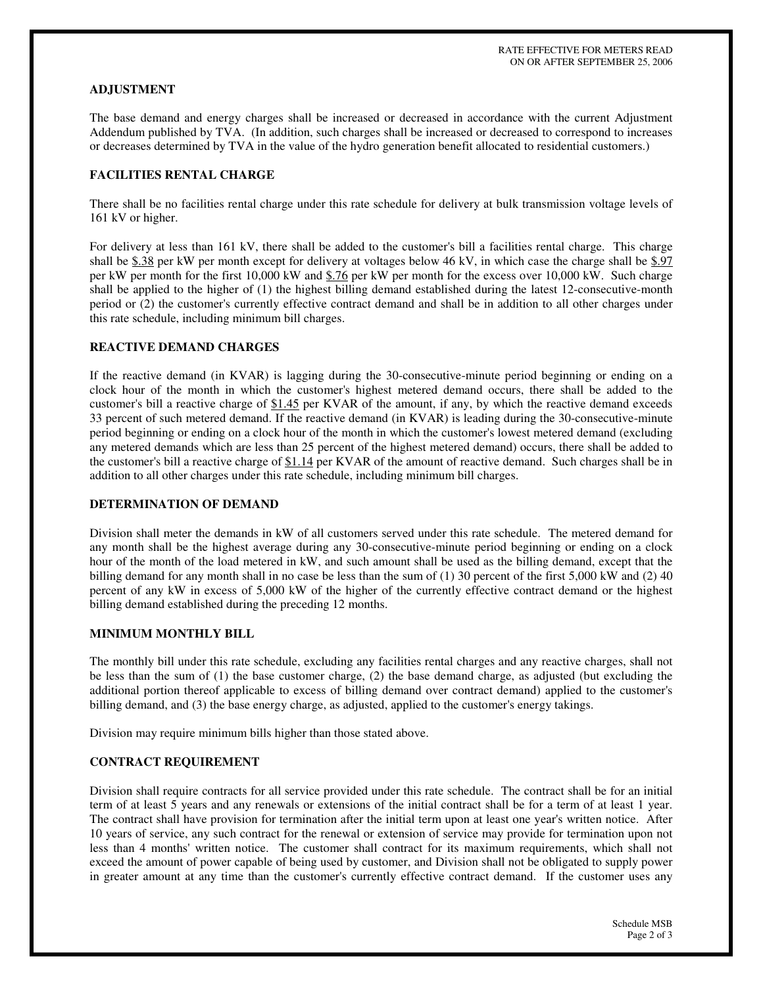## **ADJUSTMENT**

The base demand and energy charges shall be increased or decreased in accordance with the current Adjustment Addendum published by TVA. (In addition, such charges shall be increased or decreased to correspond to increases or decreases determined by TVA in the value of the hydro generation benefit allocated to residential customers.)

## **FACILITIES RENTAL CHARGE**

There shall be no facilities rental charge under this rate schedule for delivery at bulk transmission voltage levels of 161 kV or higher.

For delivery at less than 161 kV, there shall be added to the customer's bill a facilities rental charge. This charge shall be  $$.38$  per kW per month except for delivery at voltages below 46 kV, in which case the charge shall be  $$.97$ per kW per month for the first 10,000 kW and \$.76 per kW per month for the excess over 10,000 kW. Such charge shall be applied to the higher of (1) the highest billing demand established during the latest 12-consecutive-month period or (2) the customer's currently effective contract demand and shall be in addition to all other charges under this rate schedule, including minimum bill charges.

# **REACTIVE DEMAND CHARGES**

If the reactive demand (in KVAR) is lagging during the 30-consecutive-minute period beginning or ending on a clock hour of the month in which the customer's highest metered demand occurs, there shall be added to the customer's bill a reactive charge of \$1.45 per KVAR of the amount, if any, by which the reactive demand exceeds 33 percent of such metered demand. If the reactive demand (in KVAR) is leading during the 30-consecutive-minute period beginning or ending on a clock hour of the month in which the customer's lowest metered demand (excluding any metered demands which are less than 25 percent of the highest metered demand) occurs, there shall be added to the customer's bill a reactive charge of \$1.14 per KVAR of the amount of reactive demand. Such charges shall be in addition to all other charges under this rate schedule, including minimum bill charges.

#### **DETERMINATION OF DEMAND**

Division shall meter the demands in kW of all customers served under this rate schedule. The metered demand for any month shall be the highest average during any 30-consecutive-minute period beginning or ending on a clock hour of the month of the load metered in kW, and such amount shall be used as the billing demand, except that the billing demand for any month shall in no case be less than the sum of (1) 30 percent of the first 5,000 kW and (2) 40 percent of any kW in excess of 5,000 kW of the higher of the currently effective contract demand or the highest billing demand established during the preceding 12 months.

# **MINIMUM MONTHLY BILL**

The monthly bill under this rate schedule, excluding any facilities rental charges and any reactive charges, shall not be less than the sum of (1) the base customer charge, (2) the base demand charge, as adjusted (but excluding the additional portion thereof applicable to excess of billing demand over contract demand) applied to the customer's billing demand, and (3) the base energy charge, as adjusted, applied to the customer's energy takings.

Division may require minimum bills higher than those stated above.

# **CONTRACT REQUIREMENT**

Division shall require contracts for all service provided under this rate schedule. The contract shall be for an initial term of at least 5 years and any renewals or extensions of the initial contract shall be for a term of at least 1 year. The contract shall have provision for termination after the initial term upon at least one year's written notice. After 10 years of service, any such contract for the renewal or extension of service may provide for termination upon not less than 4 months'written notice. The customer shall contract for its maximum requirements, which shall not exceed the amount of power capable of being used by customer, and Division shall not be obligated to supply power in greater amount at any time than the customer's currently effective contract demand. If the customer uses any